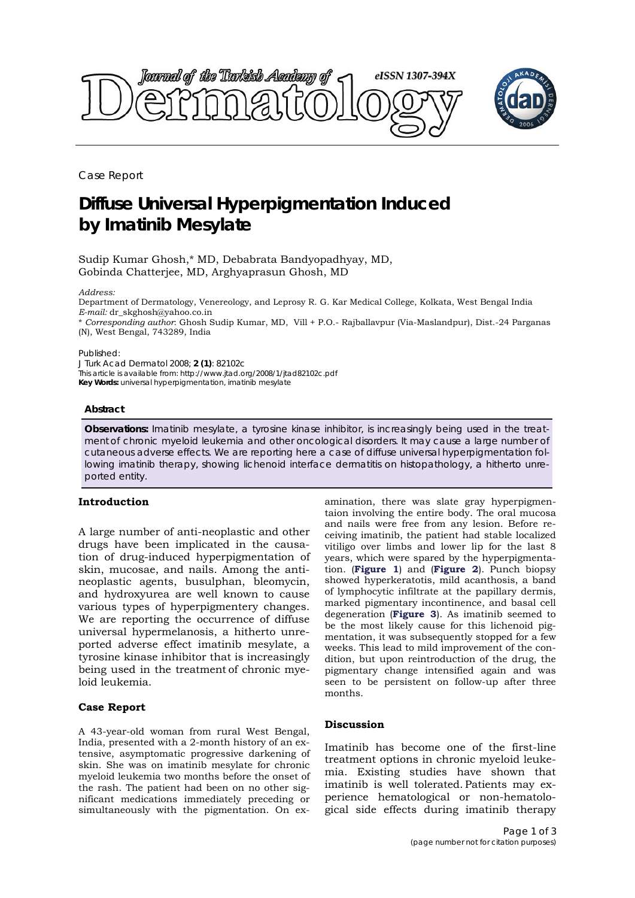

Case Report

# **Diffuse Universal Hyperpigmentation Induced by Imatinib Mesylate**

Sudip Kumar Ghosh,\* MD, Debabrata Bandyopadhyay, MD, Gobinda Chatterjee, MD, Arghyaprasun Ghosh, MD

#### *Address:*

Department of Dermatology, Venereology, and Leprosy R. G. Kar Medical College, Kolkata, West Bengal India *E-mail:* dr\_skghosh@yahoo.co.in

\* *Corresponding author*: Ghosh Sudip Kumar, MD, Vill + P.O.- Rajballavpur (Via-Maslandpur), Dist.-24 Parganas (N), West Bengal, 743289, India

Published:

*J Turk Acad Dermatol* 2008; **2 (1)**: 82102c This article is available from: http://www.jtad.org/2008/1/jtad82102c.pdf **Key Words:** universal hyperpigmentation, imatinib mesylate

#### **Abstract**

**Observations:** Imatinib mesylate, a tyrosine kinase inhibitor, is increasingly being used in the treatment of chronic myeloid leukemia and other oncological disorders. It may cause a large number of cutaneous adverse effects. We are reporting here a case of diffuse universal hyperpigmentation following imatinib therapy, showing lichenoid interface dermatitis on histopathology, a hitherto unreported entity.

### **Introduction**

A large number of anti-neoplastic and other drugs have been implicated in the causation of drug-induced hyperpigmentation of skin, mucosae, and nails. Among the antineoplastic agents, busulphan, bleomycin, and hydroxyurea are well known to cause various types of hyperpigmentery changes. We are reporting the occurrence of diffuse universal hypermelanosis, a hitherto unreported adverse effect imatinib mesylate, a tyrosine kinase inhibitor that is increasingly being used in the treatment of chronic myeloid leukemia.

## **Case Report**

A 43-year-old woman from rural West Bengal, India, presented with a 2-month history of an extensive, asymptomatic progressive darkening of skin. She was on imatinib mesylate for chronic myeloid leukemia two months before the onset of the rash. The patient had been on no other significant medications immediately preceding or simultaneously with the pigmentation. On examination, there was slate gray hyperpigmentaion involving the entire body. The oral mucosa and nails were free from any lesion. Before receiving imatinib, the patient had stable localized vitiligo over limbs and lower lip for the last 8 years, which were spared by the hyperpigmentation. (**Figure 1**) and (**Figure 2**). Punch biopsy showed hyperkeratotis, mild acanthosis, a band of lymphocytic infiltrate at the papillary dermis, marked pigmentary incontinence, and basal cell degeneration (**Figure 3**). As imatinib seemed to be the most likely cause for this lichenoid pigmentation, it was subsequently stopped for a few weeks. This lead to mild improvement of the condition, but upon reintroduction of the drug, the pigmentary change intensified again and was seen to be persistent on follow-up after three months.

## **Discussion**

Imatinib has become one of the first-line treatment options in chronic myeloid leukemia. Existing studies have shown that imatinib is well tolerated. Patients may experience hematological or non-hematological side effects during imatinib therapy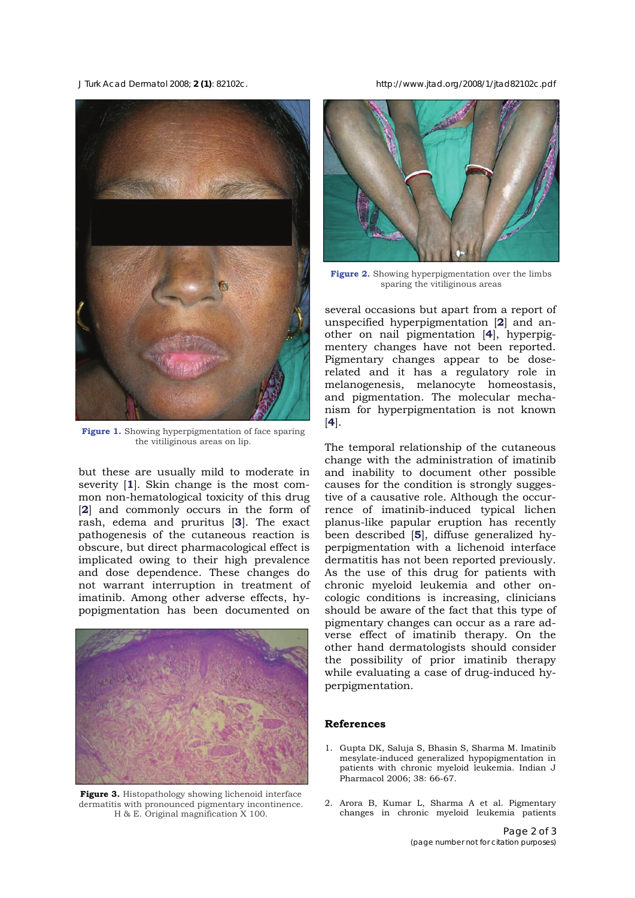

**Figure 1.** Showing hyperpigmentation of face sparing the vitiliginous areas on lip.

but these are usually mild to moderate in severity [**1**]. Skin change is the most common non-hematological toxicity of this drug [**2**] and commonly occurs in the form of rash, edema and pruritus [**3**]. The exact pathogenesis of the cutaneous reaction is obscure, but direct pharmacological effect is implicated owing to their high prevalence and dose dependence. These changes do not warrant interruption in treatment of imatinib. Among other adverse effects, hypopigmentation has been documented on



**Figure 3.** Histopathology showing lichenoid interface dermatitis with pronounced pigmentary incontinence. H & E. Original magnification X 100.

*J Turk Acad Dermatol* 2008; **2 (1)**: 82102c. http://www.jtad.org/2008/1/jtad82102c.pdf



**Figure 2.** Showing hyperpigmentation over the limbs sparing the vitiliginous areas

several occasions but apart from a report of unspecified hyperpigmentation [**2**] and another on nail pigmentation [**4**], hyperpigmentery changes have not been reported. Pigmentary changes appear to be doserelated and it has a regulatory role in melanogenesis, melanocyte homeostasis, and pigmentation. The molecular mechanism for hyperpigmentation is not known [**4**].

The temporal relationship of the cutaneous change with the administration of imatinib and inability to document other possible causes for the condition is strongly suggestive of a causative role. Although the occurrence of imatinib-induced typical lichen planus-like papular eruption has recently been described [**5**], diffuse generalized hyperpigmentation with a lichenoid interface dermatitis has not been reported previously. As the use of this drug for patients with chronic myeloid leukemia and other oncologic conditions is increasing, clinicians should be aware of the fact that this type of pigmentary changes can occur as a rare adverse effect of imatinib therapy. On the other hand dermatologists should consider the possibility of prior imatinib therapy while evaluating a case of drug-induced hyperpigmentation.

#### **References**

- 1. Gupta DK, Saluja S, Bhasin S, Sharma M. Imatinib mesylate-induced generalized hypopigmentation in patients with chronic myeloid leukemia. Indian J Pharmacol 2006; 38: 66-67.
- 2. Arora B, Kumar L, Sharma A et al. Pigmentary changes in chronic myeloid leukemia patients